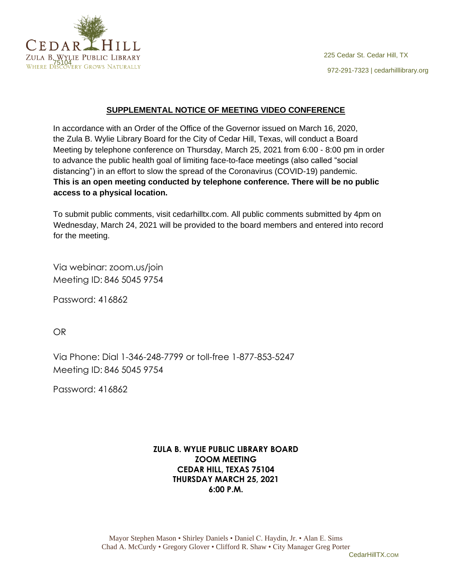

### **SUPPLEMENTAL NOTICE OF MEETING VIDEO CONFERENCE**

In accordance with an Order of the Office of the Governor issued on March 16, 2020, the Zula B. Wylie Library Board for the City of Cedar Hill, Texas, will conduct a Board Meeting by telephone conference on Thursday, March 25, 2021 from 6:00 - 8:00 pm in order to advance the public health goal of limiting face-to-face meetings (also called "social distancing") in an effort to slow the spread of the Coronavirus (COVID-19) pandemic. **This is an open meeting conducted by telephone conference. There will be no public access to a physical location.**

To submit public comments, visit cedarhilltx.com. All public comments submitted by 4pm on Wednesday, March 24, 2021 will be provided to the board members and entered into record for the meeting.

Via webinar: zoom.us/join Meeting ID: 846 5045 9754

Password: 416862

OR

Via Phone: Dial 1-346-248-7799 or toll-free 1-877-853-5247 Meeting ID: 846 5045 9754

Password: 416862

# **ZULA B. WYLIE PUBLIC LIBRARY BOARD ZOOM MEETING CEDAR HILL, TEXAS 75104 THURSDAY MARCH 25, 2021 6:00 P.M.**

CedarHillTX.COM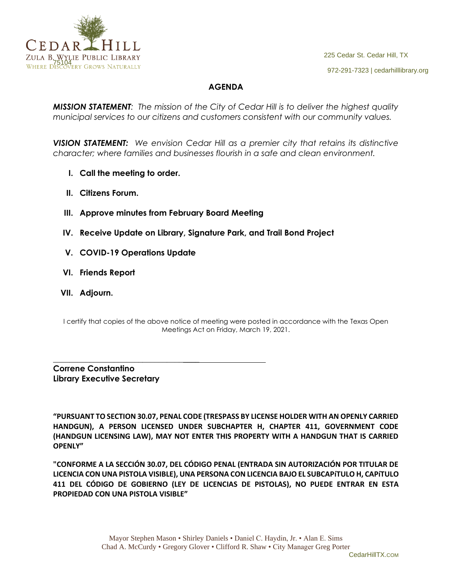

# **AGENDA**

*MISSION STATEMENT: The mission of the City of Cedar Hill is to deliver the highest quality municipal services to our citizens and customers consistent with our community values.*

*VISION STATEMENT: We envision Cedar Hill as a premier city that retains its distinctive character; where families and businesses flourish in a safe and clean environment.*

- **I. Call the meeting to order.**
- **II. Citizens Forum.**
- **III. Approve minutes from February Board Meeting**
- **IV. Receive Update on Library, Signature Park, and Trail Bond Project**
- **V. COVID-19 Operations Update**
- **VI. Friends Report**
- **VII. Adjourn.**

I certify that copies of the above notice of meeting were posted in accordance with the Texas Open Meetings Act on Friday, March 19, 2021.

**Correne Constantino Library Executive Secretary**

\_\_\_\_\_\_\_\_\_\_\_\_\_\_\_\_\_\_\_\_\_\_\_\_\_\_\_\_\_\_\_\_\_\_\_\_

**"PURSUANT TO SECTION 30.07, PENAL CODE (TRESPASS BY LICENSE HOLDER WITH AN OPENLY CARRIED HANDGUN), A PERSON LICENSED UNDER SUBCHAPTER H, CHAPTER 411, GOVERNMENT CODE (HANDGUN LICENSING LAW), MAY NOT ENTER THIS PROPERTY WITH A HANDGUN THAT IS CARRIED OPENLY"** 

**"CONFORME A LA SECCIÓN 30.07, DEL CÓDIGO PENAL (ENTRADA SIN AUTORIZACIÓN POR TITULAR DE LICENCIA CON UNA PISTOLA VISIBLE), UNA PERSONA CON LICENCIA BAJO EL SUBCAPíTULO H, CAPíTULO 411 DEL CÓDIGO DE GOBIERNO (LEY DE LICENCIAS DE PISTOLAS), NO PUEDE ENTRAR EN ESTA PROPIEDAD CON UNA PISTOLA VISIBLE"**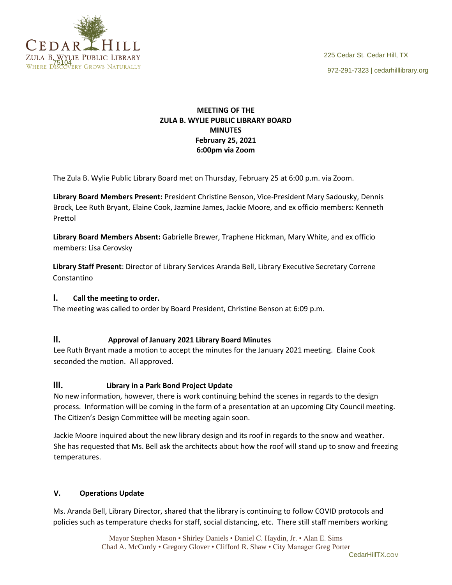

## **MEETING OF THE ZULA B. WYLIE PUBLIC LIBRARY BOARD MINUTES February 25, 2021 6:00pm via Zoom**

The Zula B. Wylie Public Library Board met on Thursday, February 25 at 6:00 p.m. via Zoom.

**Library Board Members Present:** President Christine Benson, Vice-President Mary Sadousky, Dennis Brock, Lee Ruth Bryant, Elaine Cook, Jazmine James, Jackie Moore, and ex officio members: Kenneth Prettol

**Library Board Members Absent:** Gabrielle Brewer, Traphene Hickman, Mary White, and ex officio members: Lisa Cerovsky

**Library Staff Present**: Director of Library Services Aranda Bell, Library Executive Secretary Correne Constantino

## **I. Call the meeting to order.**

The meeting was called to order by Board President, Christine Benson at 6:09 p.m.

## **II. Approval of January 2021 Library Board Minutes**

Lee Ruth Bryant made a motion to accept the minutes for the January 2021 meeting. Elaine Cook seconded the motion. All approved.

## **III. Library in a Park Bond Project Update**

No new information, however, there is work continuing behind the scenes in regards to the design process. Information will be coming in the form of a presentation at an upcoming City Council meeting. The Citizen's Design Committee will be meeting again soon.

Jackie Moore inquired about the new library design and its roof in regards to the snow and weather. She has requested that Ms. Bell ask the architects about how the roof will stand up to snow and freezing temperatures.

#### **V. Operations Update**

Ms. Aranda Bell, Library Director, shared that the library is continuing to follow COVID protocols and policies such as temperature checks for staff, social distancing, etc. There still staff members working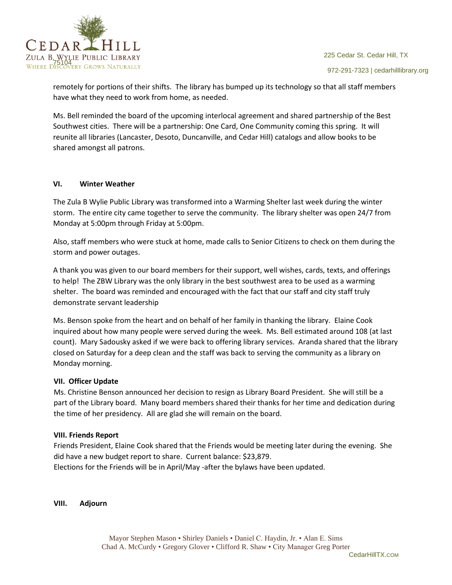

remotely for portions of their shifts. The library has bumped up its technology so that all staff members have what they need to work from home, as needed.

Ms. Bell reminded the board of the upcoming interlocal agreement and shared partnership of the Best Southwest cities. There will be a partnership: One Card, One Community coming this spring. It will reunite all libraries (Lancaster, Desoto, Duncanville, and Cedar Hill) catalogs and allow books to be shared amongst all patrons.

#### **VI. Winter Weather**

The Zula B Wylie Public Library was transformed into a Warming Shelter last week during the winter storm. The entire city came together to serve the community. The library shelter was open 24/7 from Monday at 5:00pm through Friday at 5:00pm.

Also, staff members who were stuck at home, made calls to Senior Citizens to check on them during the storm and power outages.

A thank you was given to our board members for their support, well wishes, cards, texts, and offerings to help! The ZBW Library was the only library in the best southwest area to be used as a warming shelter. The board was reminded and encouraged with the fact that our staff and city staff truly demonstrate servant leadership

Ms. Benson spoke from the heart and on behalf of her family in thanking the library. Elaine Cook inquired about how many people were served during the week. Ms. Bell estimated around 108 (at last count). Mary Sadousky asked if we were back to offering library services. Aranda shared that the library closed on Saturday for a deep clean and the staff was back to serving the community as a library on Monday morning.

#### **VII. Officer Update**

Ms. Christine Benson announced her decision to resign as Library Board President. She will still be a part of the Library board. Many board members shared their thanks for her time and dedication during the time of her presidency. All are glad she will remain on the board.

#### **VIII. Friends Report**

Friends President, Elaine Cook shared that the Friends would be meeting later during the evening. She did have a new budget report to share. Current balance: \$23,879. Elections for the Friends will be in April/May -after the bylaws have been updated.

**VIII. Adjourn**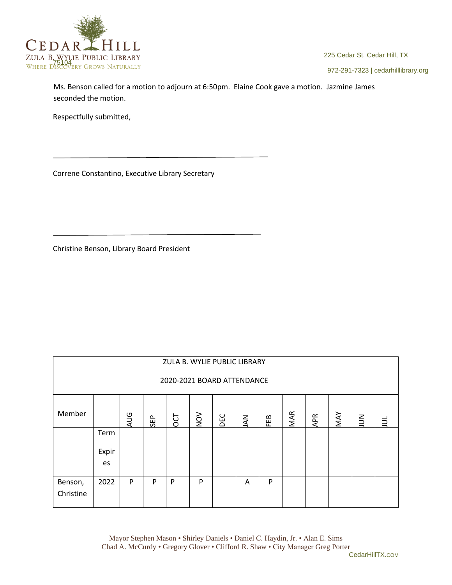

972-291-7323 | cedarhilllibrary.org

Ms. Benson called for a motion to adjourn at 6:50pm. Elaine Cook gave a motion. Jazmine James seconded the motion.

Respectfully submitted,

Correne Constantino, Executive Library Secretary

Christine Benson, Library Board President

| ZULA B. WYLIE PUBLIC LIBRARY |                     |            |     |     |                  |     |           |     |            |     |     |        |   |
|------------------------------|---------------------|------------|-----|-----|------------------|-----|-----------|-----|------------|-----|-----|--------|---|
| 2020-2021 BOARD ATTENDANCE   |                     |            |     |     |                  |     |           |     |            |     |     |        |   |
| Member                       |                     | <b>AUG</b> | SEP | DCT | $\sum_{i=1}^{n}$ | DEC | <b>AN</b> | FEB | <b>MAR</b> | APR | MAY | $\leq$ | ₿ |
|                              | Term<br>Expir<br>es |            |     |     |                  |     |           |     |            |     |     |        |   |
| Benson,<br>Christine         | 2022                | P          | P   | P   | P                |     | A         | P   |            |     |     |        |   |

Mayor Stephen Mason • Shirley Daniels • Daniel C. Haydin, Jr. • Alan E. Sims Chad A. McCurdy • Gregory Glover • Clifford R. Shaw • City Manager Greg Porter

CedarHillTX.COM